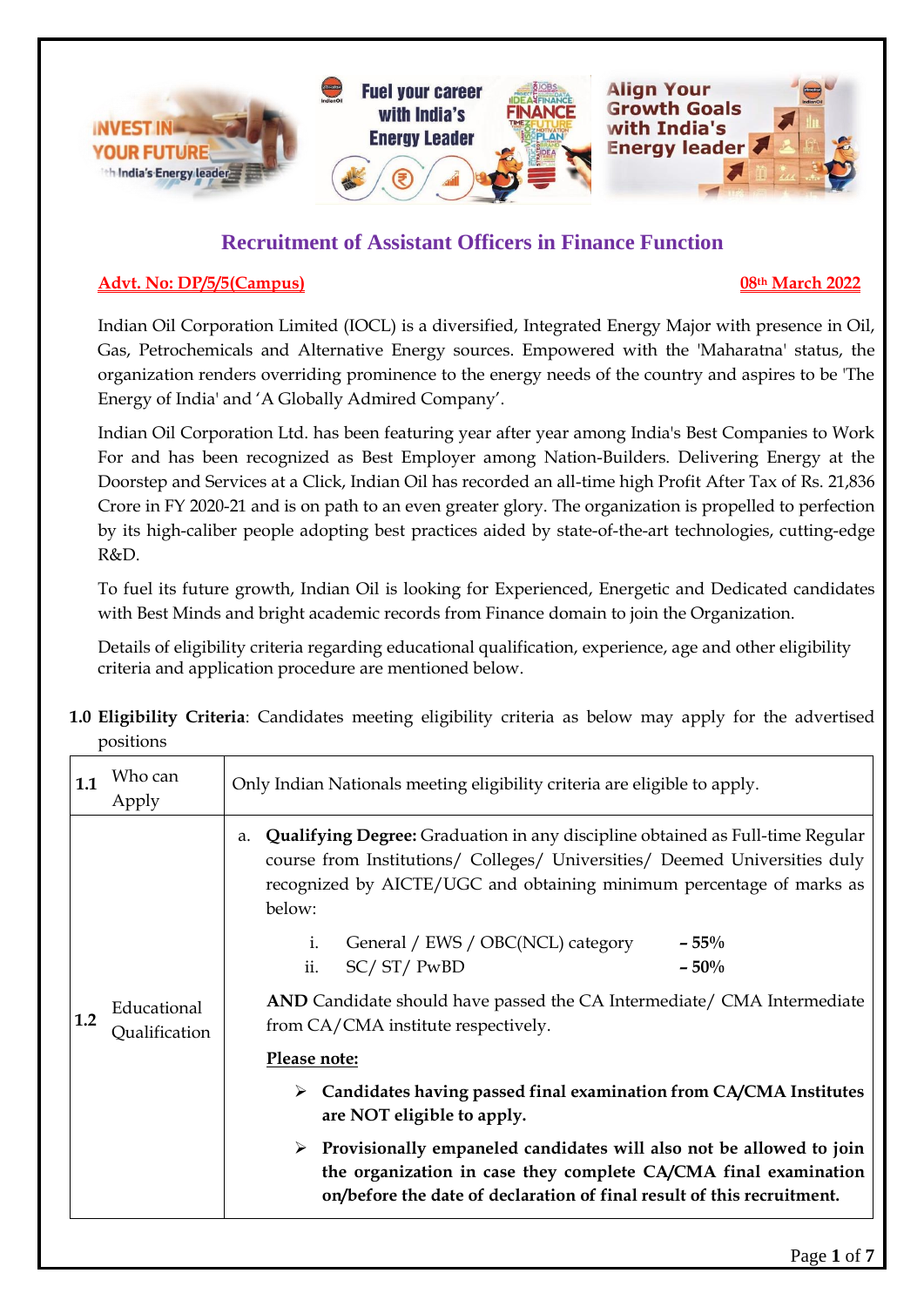

## **Recruitment of Assistant Officers in Finance Function**

#### **Advt. No: DP/5/5(Campus) 08th March 2022**

Indian Oil Corporation Limited (IOCL) is a diversified, Integrated Energy Major with presence in Oil, Gas, Petrochemicals and Alternative Energy sources. Empowered with the 'Maharatna' status, the organization renders overriding prominence to the energy needs of the country and aspires to be 'The Energy of India' and 'A Globally Admired Company'.

Indian Oil Corporation Ltd. has been featuring year after year among India's Best Companies to Work For and has been recognized as Best Employer among Nation-Builders. Delivering Energy at the Doorstep and Services at a Click, Indian Oil has recorded an all-time high Profit After Tax of Rs. 21,836 Crore in FY 2020-21 and is on path to an even greater glory. The organization is propelled to perfection by its high-caliber people adopting best practices aided by state-of-the-art technologies, cutting-edge R&D.

To fuel its future growth, Indian Oil is looking for Experienced, Energetic and Dedicated candidates with Best Minds and bright academic records from Finance domain to join the Organization.

Details of eligibility criteria regarding educational qualification, experience, age and other eligibility criteria and application procedure are mentioned below.

**1.0 Eligibility Criteria**: Candidates meeting eligibility criteria as below may apply for the advertised positions

| 1.1 | Who can<br>Apply             | Only Indian Nationals meeting eligibility criteria are eligible to apply.                                                                                                                                                                                                                                |
|-----|------------------------------|----------------------------------------------------------------------------------------------------------------------------------------------------------------------------------------------------------------------------------------------------------------------------------------------------------|
| 1.2 |                              | Qualifying Degree: Graduation in any discipline obtained as Full-time Regular<br>a.<br>course from Institutions/ Colleges/ Universities/ Deemed Universities duly<br>recognized by AICTE/UGC and obtaining minimum percentage of marks as<br>below:<br>General / EWS / OBC(NCL) category<br>$-55%$<br>i. |
|     |                              | SC/ST/ PwBD<br>ii.<br>$-50%$                                                                                                                                                                                                                                                                             |
|     | Educational<br>Qualification | AND Candidate should have passed the CA Intermediate/ CMA Intermediate<br>from CA/CMA institute respectively.                                                                                                                                                                                            |
|     |                              | Please note:                                                                                                                                                                                                                                                                                             |
|     |                              | Candidates having passed final examination from CA/CMA Institutes<br>➤<br>are NOT eligible to apply.                                                                                                                                                                                                     |
|     |                              | $\triangleright$ Provisionally empaneled candidates will also not be allowed to join<br>the organization in case they complete CA/CMA final examination<br>on/before the date of declaration of final result of this recruitment.                                                                        |
|     |                              | $\mathbf{R}$ $\mathbf{A}$ $\mathbf{C}$                                                                                                                                                                                                                                                                   |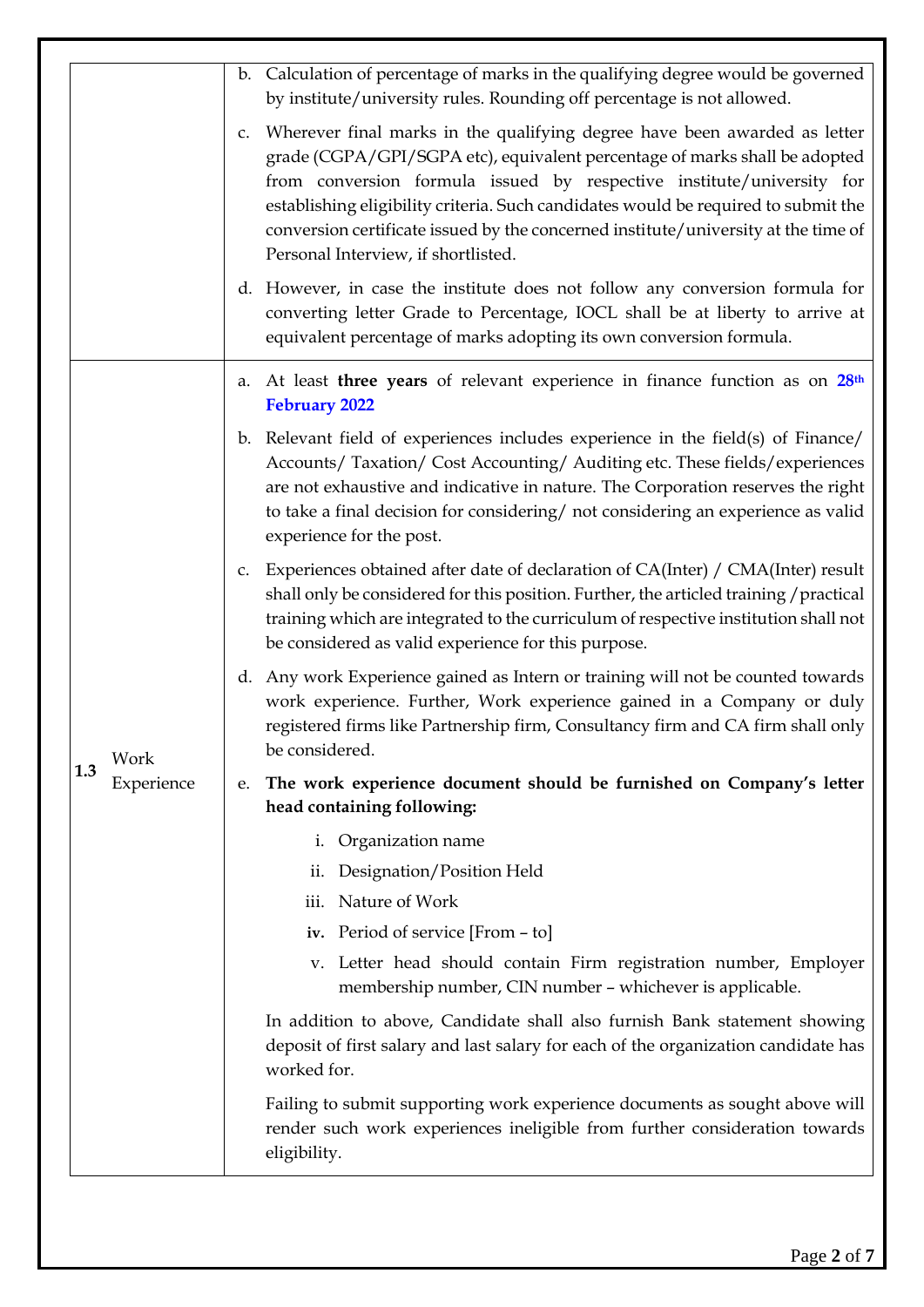|     |            | b. Calculation of percentage of marks in the qualifying degree would be governed<br>by institute/university rules. Rounding off percentage is not allowed.                                                                                                                                                                                                                                                                                                |
|-----|------------|-----------------------------------------------------------------------------------------------------------------------------------------------------------------------------------------------------------------------------------------------------------------------------------------------------------------------------------------------------------------------------------------------------------------------------------------------------------|
|     |            | Wherever final marks in the qualifying degree have been awarded as letter<br>C.<br>grade (CGPA/GPI/SGPA etc), equivalent percentage of marks shall be adopted<br>from conversion formula issued by respective institute/university for<br>establishing eligibility criteria. Such candidates would be required to submit the<br>conversion certificate issued by the concerned institute/university at the time of<br>Personal Interview, if shortlisted. |
|     |            | d. However, in case the institute does not follow any conversion formula for<br>converting letter Grade to Percentage, IOCL shall be at liberty to arrive at<br>equivalent percentage of marks adopting its own conversion formula.                                                                                                                                                                                                                       |
|     |            | a. At least three years of relevant experience in finance function as on 28 <sup>th</sup><br><b>February 2022</b>                                                                                                                                                                                                                                                                                                                                         |
|     |            | b. Relevant field of experiences includes experience in the field(s) of Finance/<br>Accounts/ Taxation/ Cost Accounting/ Auditing etc. These fields/experiences<br>are not exhaustive and indicative in nature. The Corporation reserves the right<br>to take a final decision for considering/ not considering an experience as valid<br>experience for the post.                                                                                        |
|     |            | Experiences obtained after date of declaration of CA(Inter) / CMA(Inter) result<br>C.<br>shall only be considered for this position. Further, the articled training / practical<br>training which are integrated to the curriculum of respective institution shall not<br>be considered as valid experience for this purpose.                                                                                                                             |
|     | Work       | d. Any work Experience gained as Intern or training will not be counted towards<br>work experience. Further, Work experience gained in a Company or duly<br>registered firms like Partnership firm, Consultancy firm and CA firm shall only<br>be considered.                                                                                                                                                                                             |
| 1.3 | Experience | The work experience document should be furnished on Company's letter<br>e.<br>head containing following:                                                                                                                                                                                                                                                                                                                                                  |
|     |            | Organization name<br>i.                                                                                                                                                                                                                                                                                                                                                                                                                                   |
|     |            | Designation/Position Held<br>11.                                                                                                                                                                                                                                                                                                                                                                                                                          |
|     |            | iii. Nature of Work                                                                                                                                                                                                                                                                                                                                                                                                                                       |
|     |            | iv. Period of service [From - to]                                                                                                                                                                                                                                                                                                                                                                                                                         |
|     |            | v. Letter head should contain Firm registration number, Employer<br>membership number, CIN number - whichever is applicable.                                                                                                                                                                                                                                                                                                                              |
|     |            | In addition to above, Candidate shall also furnish Bank statement showing<br>deposit of first salary and last salary for each of the organization candidate has<br>worked for.                                                                                                                                                                                                                                                                            |
|     |            | Failing to submit supporting work experience documents as sought above will<br>render such work experiences ineligible from further consideration towards<br>eligibility.                                                                                                                                                                                                                                                                                 |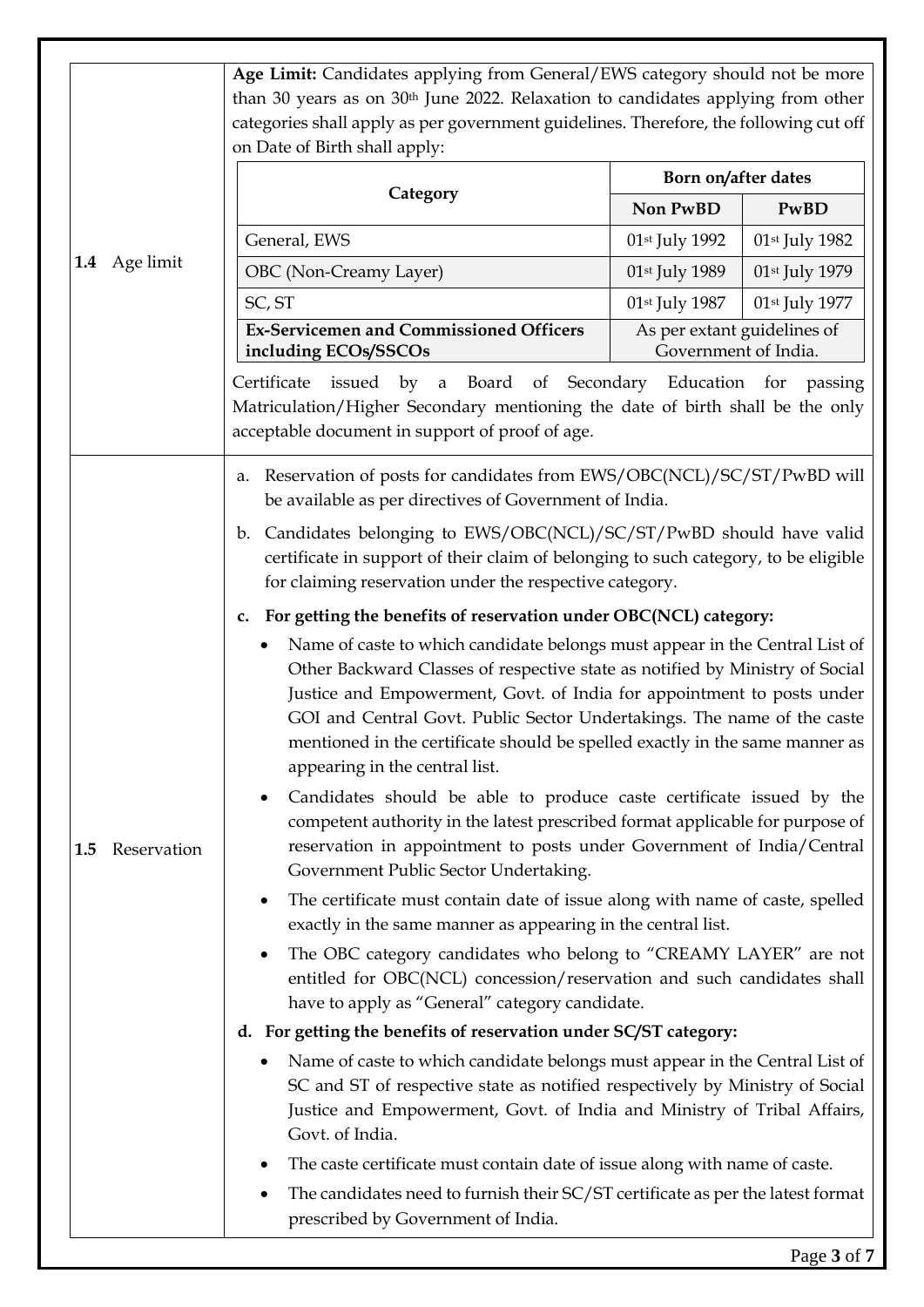|                    | Age Limit: Candidates applying from General/EWS category should not be more                                                                                                                                                                                                                                                                                                                                                             |                                                     |                |  |
|--------------------|-----------------------------------------------------------------------------------------------------------------------------------------------------------------------------------------------------------------------------------------------------------------------------------------------------------------------------------------------------------------------------------------------------------------------------------------|-----------------------------------------------------|----------------|--|
|                    | than 30 years as on 30 <sup>th</sup> June 2022. Relaxation to candidates applying from other                                                                                                                                                                                                                                                                                                                                            |                                                     |                |  |
|                    | categories shall apply as per government guidelines. Therefore, the following cut off                                                                                                                                                                                                                                                                                                                                                   |                                                     |                |  |
|                    | on Date of Birth shall apply:                                                                                                                                                                                                                                                                                                                                                                                                           |                                                     |                |  |
|                    | Category                                                                                                                                                                                                                                                                                                                                                                                                                                | Born on/after dates                                 |                |  |
|                    |                                                                                                                                                                                                                                                                                                                                                                                                                                         | Non PwBD                                            | PwBD           |  |
|                    | General, EWS                                                                                                                                                                                                                                                                                                                                                                                                                            | 01st July 1992                                      | 01st July 1982 |  |
| 1.4 Age limit      | OBC (Non-Creamy Layer)                                                                                                                                                                                                                                                                                                                                                                                                                  | 01st July 1989                                      | 01st July 1979 |  |
|                    | SC, ST                                                                                                                                                                                                                                                                                                                                                                                                                                  | 01st July 1987                                      | 01st July 1977 |  |
|                    | <b>Ex-Servicemen and Commissioned Officers</b><br>including ECOs/SSCOs                                                                                                                                                                                                                                                                                                                                                                  | As per extant guidelines of<br>Government of India. |                |  |
|                    | issued by a Board of Secondary Education for passing<br>Certificate<br>Matriculation/Higher Secondary mentioning the date of birth shall be the only<br>acceptable document in support of proof of age.                                                                                                                                                                                                                                 |                                                     |                |  |
|                    | Reservation of posts for candidates from EWS/OBC(NCL)/SC/ST/PwBD will<br>a.<br>be available as per directives of Government of India.                                                                                                                                                                                                                                                                                                   |                                                     |                |  |
|                    | b. Candidates belonging to EWS/OBC(NCL)/SC/ST/PwBD should have valid<br>certificate in support of their claim of belonging to such category, to be eligible<br>for claiming reservation under the respective category.                                                                                                                                                                                                                  |                                                     |                |  |
|                    | For getting the benefits of reservation under OBC(NCL) category:<br>c.                                                                                                                                                                                                                                                                                                                                                                  |                                                     |                |  |
|                    | Name of caste to which candidate belongs must appear in the Central List of<br>٠<br>Other Backward Classes of respective state as notified by Ministry of Social<br>Justice and Empowerment, Govt. of India for appointment to posts under<br>GOI and Central Govt. Public Sector Undertakings. The name of the caste<br>mentioned in the certificate should be spelled exactly in the same manner as<br>appearing in the central list. |                                                     |                |  |
| Reservation<br>1.5 | Candidates should be able to produce caste certificate issued by the<br>competent authority in the latest prescribed format applicable for purpose of<br>reservation in appointment to posts under Government of India/Central<br>Government Public Sector Undertaking.                                                                                                                                                                 |                                                     |                |  |
|                    | The certificate must contain date of issue along with name of caste, spelled<br>٠<br>exactly in the same manner as appearing in the central list.                                                                                                                                                                                                                                                                                       |                                                     |                |  |
|                    | The OBC category candidates who belong to "CREAMY LAYER" are not<br>$\bullet$<br>entitled for OBC(NCL) concession/reservation and such candidates shall<br>have to apply as "General" category candidate.                                                                                                                                                                                                                               |                                                     |                |  |
|                    | d. For getting the benefits of reservation under SC/ST category:                                                                                                                                                                                                                                                                                                                                                                        |                                                     |                |  |
|                    | Name of caste to which candidate belongs must appear in the Central List of<br>$\bullet$<br>SC and ST of respective state as notified respectively by Ministry of Social<br>Justice and Empowerment, Govt. of India and Ministry of Tribal Affairs,<br>Govt. of India.                                                                                                                                                                  |                                                     |                |  |
|                    | The caste certificate must contain date of issue along with name of caste.                                                                                                                                                                                                                                                                                                                                                              |                                                     |                |  |
|                    | The candidates need to furnish their SC/ST certificate as per the latest format<br>prescribed by Government of India.                                                                                                                                                                                                                                                                                                                   |                                                     |                |  |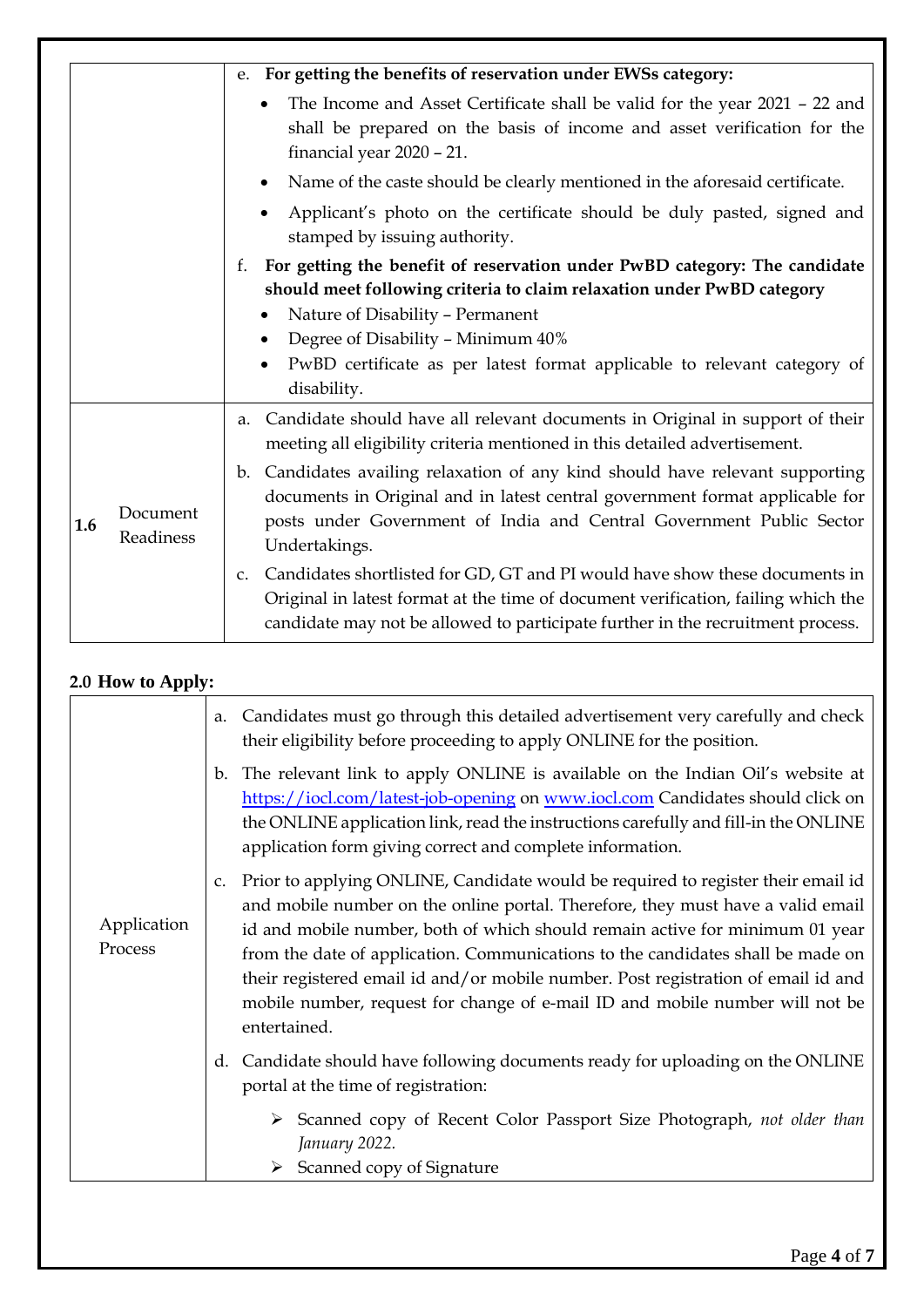|     |                       | For getting the benefits of reservation under EWSs category:<br>e.                                                                                                                                                                                                    |
|-----|-----------------------|-----------------------------------------------------------------------------------------------------------------------------------------------------------------------------------------------------------------------------------------------------------------------|
|     |                       | The Income and Asset Certificate shall be valid for the year 2021 - 22 and<br>٠<br>shall be prepared on the basis of income and asset verification for the<br>financial year 2020 - 21.                                                                               |
|     |                       | Name of the caste should be clearly mentioned in the aforesaid certificate.<br>٠                                                                                                                                                                                      |
|     |                       | Applicant's photo on the certificate should be duly pasted, signed and<br>stamped by issuing authority.                                                                                                                                                               |
|     |                       | For getting the benefit of reservation under PwBD category: The candidate<br>f.<br>should meet following criteria to claim relaxation under PwBD category                                                                                                             |
|     |                       | Nature of Disability - Permanent                                                                                                                                                                                                                                      |
|     |                       | Degree of Disability - Minimum 40%                                                                                                                                                                                                                                    |
|     |                       | PwBD certificate as per latest format applicable to relevant category of<br>disability.                                                                                                                                                                               |
|     |                       | Candidate should have all relevant documents in Original in support of their<br>a.<br>meeting all eligibility criteria mentioned in this detailed advertisement.                                                                                                      |
| 1.6 | Document<br>Readiness | Candidates availing relaxation of any kind should have relevant supporting<br>$\mathbf{b}$ .<br>documents in Original and in latest central government format applicable for<br>posts under Government of India and Central Government Public Sector<br>Undertakings. |
|     |                       | Candidates shortlisted for GD, GT and PI would have show these documents in<br>$C_{\bullet}$<br>Original in latest format at the time of document verification, failing which the<br>candidate may not be allowed to participate further in the recruitment process.  |

### **2.0 How to Apply:**

|                        | Candidates must go through this detailed advertisement very carefully and check<br>a.<br>their eligibility before proceeding to apply ONLINE for the position.                                                                                                                                                                                                                                                                                                                                                                                |
|------------------------|-----------------------------------------------------------------------------------------------------------------------------------------------------------------------------------------------------------------------------------------------------------------------------------------------------------------------------------------------------------------------------------------------------------------------------------------------------------------------------------------------------------------------------------------------|
|                        | The relevant link to apply ONLINE is available on the Indian Oil's website at<br>b.<br>https://iocl.com/latest-job-opening on www.iocl.com Candidates should click on<br>the ONLINE application link, read the instructions carefully and fill-in the ONLINE<br>application form giving correct and complete information.                                                                                                                                                                                                                     |
| Application<br>Process | Prior to applying ONLINE, Candidate would be required to register their email id<br>C <sub>1</sub><br>and mobile number on the online portal. Therefore, they must have a valid email<br>id and mobile number, both of which should remain active for minimum 01 year<br>from the date of application. Communications to the candidates shall be made on<br>their registered email id and/or mobile number. Post registration of email id and<br>mobile number, request for change of e-mail ID and mobile number will not be<br>entertained. |
|                        | Candidate should have following documents ready for uploading on the ONLINE<br>d.<br>portal at the time of registration:                                                                                                                                                                                                                                                                                                                                                                                                                      |
|                        | $\triangleright$ Scanned copy of Recent Color Passport Size Photograph, not older than<br>January 2022.<br>$\triangleright$ Scanned copy of Signature                                                                                                                                                                                                                                                                                                                                                                                         |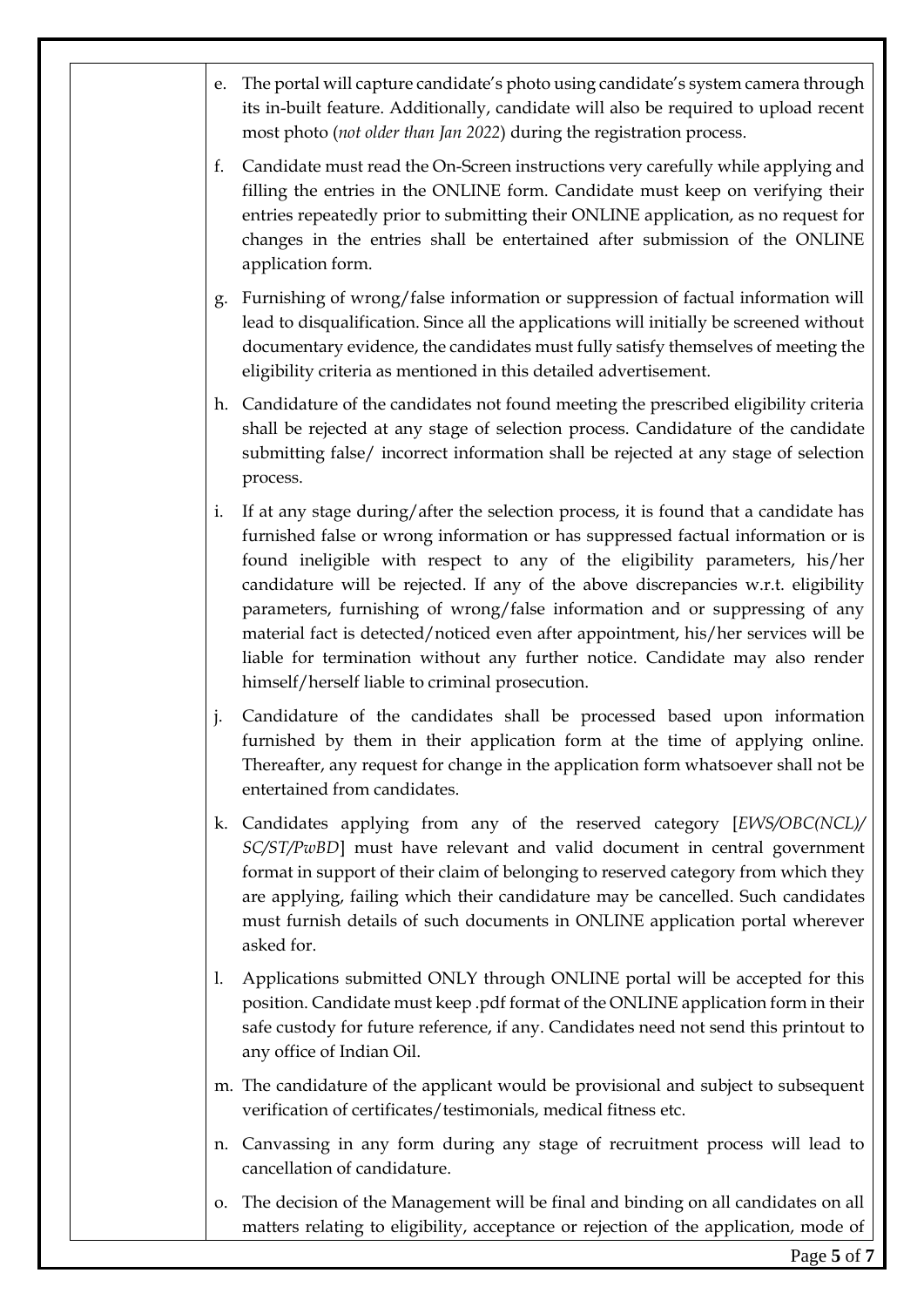| e. | The portal will capture candidate's photo using candidate's system camera through<br>its in-built feature. Additionally, candidate will also be required to upload recent<br>most photo (not older than Jan 2022) during the registration process.                                                                                                                                                                                                                                                                                                                                                                                                    |
|----|-------------------------------------------------------------------------------------------------------------------------------------------------------------------------------------------------------------------------------------------------------------------------------------------------------------------------------------------------------------------------------------------------------------------------------------------------------------------------------------------------------------------------------------------------------------------------------------------------------------------------------------------------------|
| f. | Candidate must read the On-Screen instructions very carefully while applying and<br>filling the entries in the ONLINE form. Candidate must keep on verifying their<br>entries repeatedly prior to submitting their ONLINE application, as no request for<br>changes in the entries shall be entertained after submission of the ONLINE<br>application form.                                                                                                                                                                                                                                                                                           |
| g. | Furnishing of wrong/false information or suppression of factual information will<br>lead to disqualification. Since all the applications will initially be screened without<br>documentary evidence, the candidates must fully satisfy themselves of meeting the<br>eligibility criteria as mentioned in this detailed advertisement.                                                                                                                                                                                                                                                                                                                 |
| h. | Candidature of the candidates not found meeting the prescribed eligibility criteria<br>shall be rejected at any stage of selection process. Candidature of the candidate<br>submitting false/ incorrect information shall be rejected at any stage of selection<br>process.                                                                                                                                                                                                                                                                                                                                                                           |
| i. | If at any stage during/after the selection process, it is found that a candidate has<br>furnished false or wrong information or has suppressed factual information or is<br>found ineligible with respect to any of the eligibility parameters, his/her<br>candidature will be rejected. If any of the above discrepancies w.r.t. eligibility<br>parameters, furnishing of wrong/false information and or suppressing of any<br>material fact is detected/noticed even after appointment, his/her services will be<br>liable for termination without any further notice. Candidate may also render<br>himself/herself liable to criminal prosecution. |
| j. | Candidature of the candidates shall be processed based upon information<br>furnished by them in their application form at the time of applying online.<br>Thereafter, any request for change in the application form whatsoever shall not be<br>entertained from candidates.                                                                                                                                                                                                                                                                                                                                                                          |
| k. | Candidates applying from any of the reserved category [EWS/OBC(NCL)/<br>SC/ST/PwBD] must have relevant and valid document in central government<br>format in support of their claim of belonging to reserved category from which they<br>are applying, failing which their candidature may be cancelled. Such candidates<br>must furnish details of such documents in ONLINE application portal wherever<br>asked for.                                                                                                                                                                                                                                |
| 1. | Applications submitted ONLY through ONLINE portal will be accepted for this<br>position. Candidate must keep .pdf format of the ONLINE application form in their<br>safe custody for future reference, if any. Candidates need not send this printout to<br>any office of Indian Oil.                                                                                                                                                                                                                                                                                                                                                                 |
|    | m. The candidature of the applicant would be provisional and subject to subsequent<br>verification of certificates/testimonials, medical fitness etc.                                                                                                                                                                                                                                                                                                                                                                                                                                                                                                 |
| n. | Canvassing in any form during any stage of recruitment process will lead to<br>cancellation of candidature.                                                                                                                                                                                                                                                                                                                                                                                                                                                                                                                                           |
| 0. | The decision of the Management will be final and binding on all candidates on all<br>matters relating to eligibility, acceptance or rejection of the application, mode of                                                                                                                                                                                                                                                                                                                                                                                                                                                                             |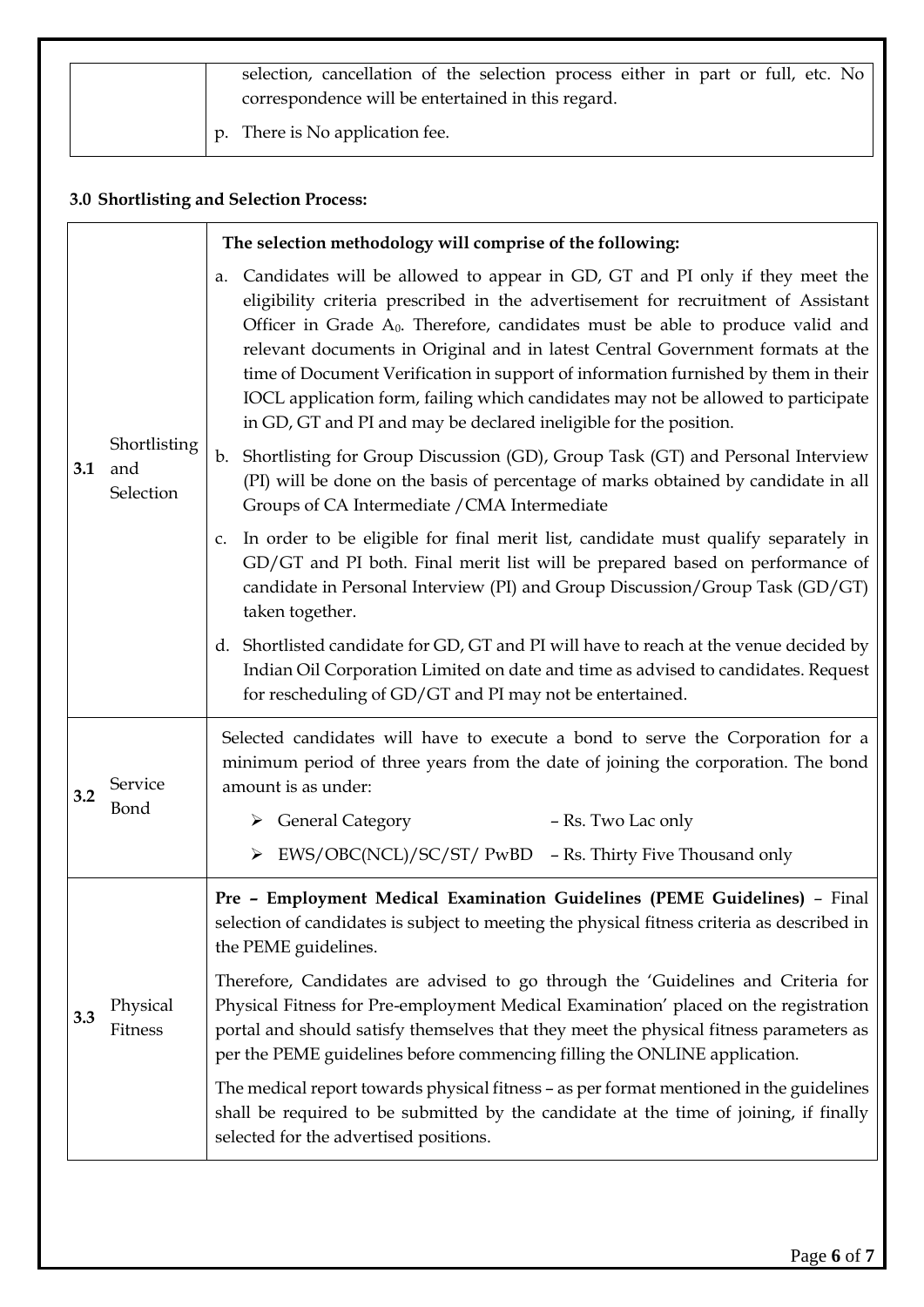| selection, cancellation of the selection process either in part or full, etc. No<br>correspondence will be entertained in this regard. |
|----------------------------------------------------------------------------------------------------------------------------------------|
| p. There is No application fee.                                                                                                        |

# **3.0 Shortlisting and Selection Process:**

|     |                                  | The selection methodology will comprise of the following:                                                                                                                                                                                                                                                                                                                                                                                                                                                                                                                                    |
|-----|----------------------------------|----------------------------------------------------------------------------------------------------------------------------------------------------------------------------------------------------------------------------------------------------------------------------------------------------------------------------------------------------------------------------------------------------------------------------------------------------------------------------------------------------------------------------------------------------------------------------------------------|
| 3.1 | Shortlisting<br>and<br>Selection | Candidates will be allowed to appear in GD, GT and PI only if they meet the<br>a.<br>eligibility criteria prescribed in the advertisement for recruitment of Assistant<br>Officer in Grade $A_0$ . Therefore, candidates must be able to produce valid and<br>relevant documents in Original and in latest Central Government formats at the<br>time of Document Verification in support of information furnished by them in their<br>IOCL application form, failing which candidates may not be allowed to participate<br>in GD, GT and PI and may be declared ineligible for the position. |
|     |                                  | Shortlisting for Group Discussion (GD), Group Task (GT) and Personal Interview<br>$\mathbf{b}$ .<br>(PI) will be done on the basis of percentage of marks obtained by candidate in all<br>Groups of CA Intermediate / CMA Intermediate                                                                                                                                                                                                                                                                                                                                                       |
|     |                                  | In order to be eligible for final merit list, candidate must qualify separately in<br>C.<br>GD/GT and PI both. Final merit list will be prepared based on performance of<br>candidate in Personal Interview (PI) and Group Discussion/Group Task (GD/GT)<br>taken together.                                                                                                                                                                                                                                                                                                                  |
|     |                                  | d. Shortlisted candidate for GD, GT and PI will have to reach at the venue decided by<br>Indian Oil Corporation Limited on date and time as advised to candidates. Request<br>for rescheduling of GD/GT and PI may not be entertained.                                                                                                                                                                                                                                                                                                                                                       |
| 3.2 | Service<br>Bond                  | Selected candidates will have to execute a bond to serve the Corporation for a<br>minimum period of three years from the date of joining the corporation. The bond<br>amount is as under:                                                                                                                                                                                                                                                                                                                                                                                                    |
|     |                                  | $\triangleright$ General Category<br>- Rs. Two Lac only                                                                                                                                                                                                                                                                                                                                                                                                                                                                                                                                      |
|     |                                  | EWS/OBC(NCL)/SC/ST/ PwBD - Rs. Thirty Five Thousand only                                                                                                                                                                                                                                                                                                                                                                                                                                                                                                                                     |
|     |                                  | Pre - Employment Medical Examination Guidelines (PEME Guidelines) - Final<br>selection of candidates is subject to meeting the physical fitness criteria as described in<br>the PEME guidelines.                                                                                                                                                                                                                                                                                                                                                                                             |
| 3.3 | Physical<br>Fitness              | Therefore, Candidates are advised to go through the 'Guidelines and Criteria for<br>Physical Fitness for Pre-employment Medical Examination' placed on the registration<br>portal and should satisfy themselves that they meet the physical fitness parameters as<br>per the PEME guidelines before commencing filling the ONLINE application.                                                                                                                                                                                                                                               |
|     |                                  | The medical report towards physical fitness - as per format mentioned in the guidelines<br>shall be required to be submitted by the candidate at the time of joining, if finally<br>selected for the advertised positions.                                                                                                                                                                                                                                                                                                                                                                   |